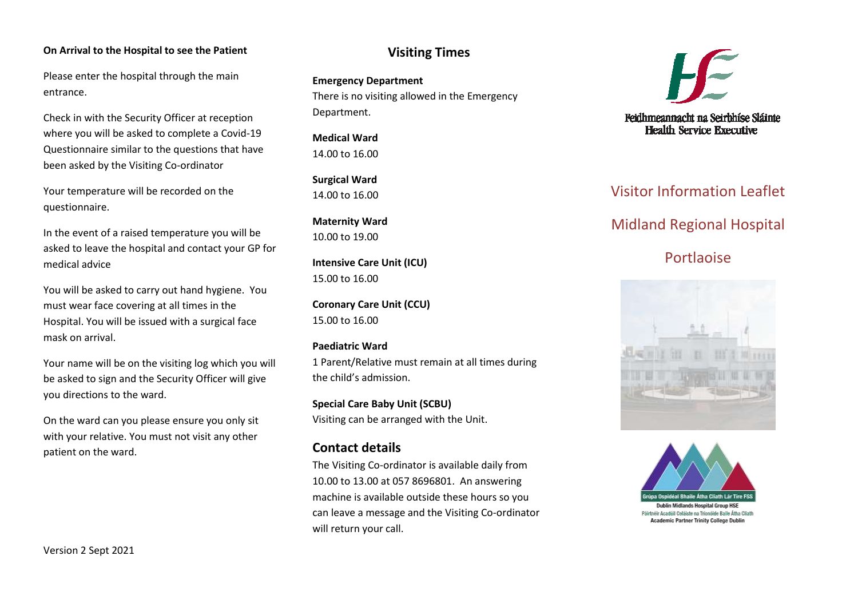#### **On Arrival to the Hospital to see the Patient**

Please enter the hospital through the main entrance.

Check in with the Security Officer at reception where you will be asked to complete a Covid-19 Questionnaire similar to the questions that have been asked by the Visiting Co-ordinator

Your temperature will be recorded on the questionnaire.

In the event of a raised temperature you will be asked to leave the hospital and contact your GP for medical advice

You will be asked to carry out hand hygiene. You must wear face covering at all times in the Hospital. You will be issued with a surgical face mask on arrival.

Your name will be on the visiting log which you will be asked to sign and the Security Officer will give you directions to the ward.

On the ward can you please ensure you only sit with your relative. You must not visit any other patient on the ward.

## **Visiting Times**

**Emergency Department** There is no visiting allowed in the Emergency Department.

**Medical Ward** 14.00 to 16.00

**Surgical Ward**  14.00 to 16.00

**Maternity Ward** 10.00 to 19.00

**Intensive Care Unit (ICU)** 15.00 to 16.00

**Coronary Care Unit (CCU)** 15.00 to 16.00

### **Paediatric Ward**

1 Parent/Relative must remain at all times during the child's admission.

**Special Care Baby Unit (SCBU)** Visiting can be arranged with the Unit.

### **Contact details**

The Visiting Co-ordinator is available daily from 10.00 to 13.00 at 057 8696801. An answering machine is available outside these hours so you can leave a message and the Visiting Co-ordinator will return your call.



# Visitor Information Leaflet

# Midland Regional Hospital

# **Portlanise**





**Academic Partner Trinity College Dublin**